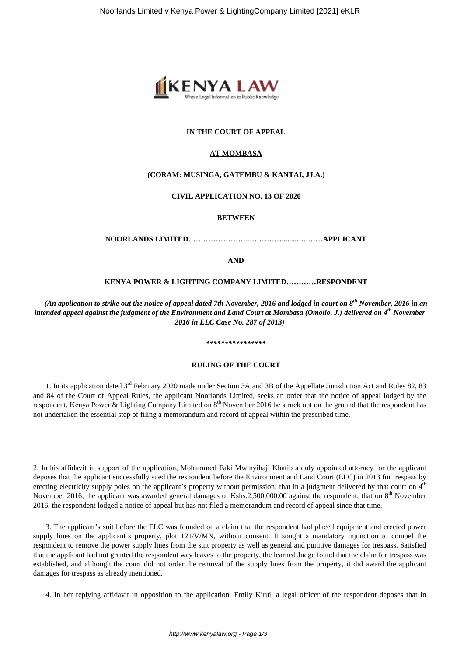

# **IN THE COURT OF APPEAL**

## **AT MOMBASA**

## **(CORAM: MUSINGA, GATEMBU & KANTAI, JJ.A.)**

## **CIVIL APPLICATION NO. 13 OF 2020**

**BETWEEN**

**NOORLANDS LIMITED……………………..………….........….……APPLICANT**

**AND**

# **KENYA POWER & LIGHTING COMPANY LIMITED…………RESPONDENT**

*(An application to strike out the notice of appeal dated 7th November, 2016 and lodged in court on 8th November, 2016 in an intended appeal against the judgment of the Environment and Land Court at Mombasa (Omollo, J.) delivered on 4th November 2016 in ELC Case No. 287 of 2013)*

### *\*\*\*\*\*\*\*\*\*\*\*\*\*\*\*\**

## **RULING OF THE COURT**

1. In its application dated 3<sup>rd</sup> February 2020 made under Section 3A and 3B of the Appellate Jurisdiction Act and Rules 82, 83 and 84 of the Court of Appeal Rules, the applicant Noorlands Limited, seeks an order that the notice of appeal lodged by the respondent, Kenya Power & Lighting Company Limited on  $8<sup>th</sup>$  November 2016 be struck out on the ground that the respondent has not undertaken the essential step of filing a memorandum and record of appeal within the prescribed time.

2. In his affidavit in support of the application, Mohammed Faki Mwinyihaji Khatib a duly appointed attorney for the applicant deposes that the applicant successfully sued the respondent before the Environment and Land Court (ELC) in 2013 for trespass by erecting electricity supply poles on the applicant's property without permission; that in a judgment delivered by that court on  $4<sup>th</sup>$ November 2016, the applicant was awarded general damages of Kshs.2,500,000.00 against the respondent; that on 8<sup>th</sup> November 2016, the respondent lodged a notice of appeal but has not filed a memorandum and record of appeal since that time.

3. The applicant's suit before the ELC was founded on a claim that the respondent had placed equipment and erected power supply lines on the applicant's property, plot 121/V/MN, without consent. It sought a mandatory injunction to compel the respondent to remove the power supply lines from the suit property as well as general and punitive damages for trespass. Satisfied that the applicant had not granted the respondent way leaves to the property, the learned Judge found that the claim for trespass was established, and although the court did not order the removal of the supply lines from the property, it did award the applicant damages for trespass as already mentioned.

4. In her replying affidavit in opposition to the application, Emily Kirui, a legal officer of the respondent deposes that in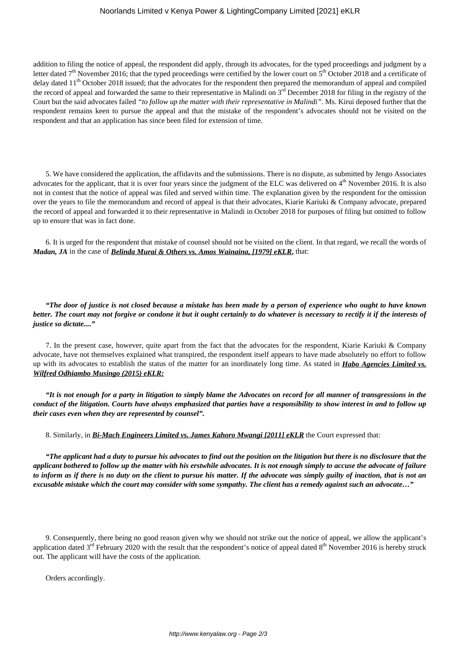## Noorlands Limited v Kenya Power & Lighting Company Limited [2021] eKLR

addition to filing the notice of appeal, the respondent did apply, through its advocates, for the typed proceedings and judgment by a letter dated  $7<sup>th</sup>$  November 2016; that the typed proceedings were certified by the lower court on  $5<sup>th</sup>$  October 2018 and a certificate of delay dated  $11<sup>th</sup>$  October 2018 issued; that the advocates for the respondent then prepared the memorandum of appeal and compiled the record of appeal and forwarded the same to their representative in Malindi on  $3<sup>rd</sup>$  December 2018 for filing in the registry of the Court but the said advocates failed *"to follow up the matter with their representative in Malindi"*. Ms. Kirui deposed further that the respondent remains keen to pursue the appeal and that the mistake of the respondent's advocates should not be visited on the respondent and that an application has since been filed for extension of time.

5. We have considered the application, the affidavits and the submissions. There is no dispute, as submitted by Jengo Associates advocates for the applicant, that it is over four years since the judgment of the ELC was delivered on  $4<sup>th</sup>$  November 2016. It is also not in contest that the notice of appeal was filed and served within time. The explanation given by the respondent for the omission over the years to file the memorandum and record of appeal is that their advocates, Kiarie Kariuki & Company advocate, prepared the record of appeal and forwarded it to their representative in Malindi in October 2018 for purposes of filing but omitted to follow up to ensure that was in fact done.

6. It is urged for the respondent that mistake of counsel should not be visited on the client. In that regard, we recall the words of *Madan, JA* in the case of *Belinda Murai & Others vs. Amos Wainaina, [1979] eKLR***,** that:

*"The door of justice is not closed because a mistake has been made by a person of experience who ought to have known better. The court may not forgive or condone it but it ought certainly to do whatever is necessary to rectify it if the interests of justice so dictate...."*

7. In the present case, however, quite apart from the fact that the advocates for the respondent, Kiarie Kariuki & Company advocate, have not themselves explained what transpired, the respondent itself appears to have made absolutely no effort to follow up with its advocates to establish the status of the matter for an inordinately long time. As stated in *Habo Agencies Limited vs. Wilfred Odhiambo Musingo (2015) eKLR:*

*"It is not enough for a party in litigation to simply blame the Advocates on record for all manner of transgressions in the conduct of the litigation. Courts have always emphasized that parties have a responsibility to show interest in and to follow up their cases even when they are represented by counsel".*

8. Similarly, in *Bi-Mach Engineers Limited vs. James Kahoro Mwangi [2011] eKLR* the Court expressed that:

*"The applicant had a duty to pursue his advocates to find out the position on the litigation but there is no disclosure that the applicant bothered to follow up the matter with his erstwhile advocates. It is not enough simply to accuse the advocate of failure to inform as if there is no duty on the client to pursue his matter. If the advocate was simply guilty of inaction, that is not an excusable mistake which the court may consider with some sympathy. The client has a remedy against such an advocate…"*

9. Consequently, there being no good reason given why we should not strike out the notice of appeal, we allow the applicant's application dated  $3<sup>rd</sup>$  February 2020 with the result that the respondent's notice of appeal dated  $8<sup>th</sup>$  November 2016 is hereby struck out. The applicant will have the costs of the application.

Orders accordingly.